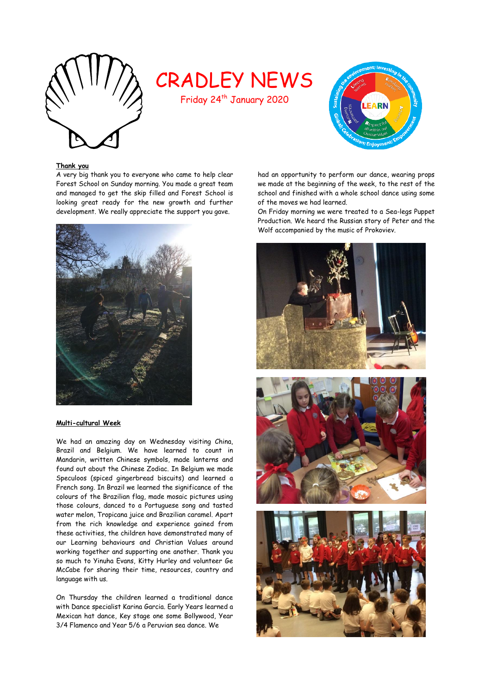

# CRADLEY NEWS

Friday 24<sup>th</sup> January 2020



# **Thank you**

A very big thank you to everyone who came to help clear Forest School on Sunday morning. You made a great team and managed to get the skip filled and Forest School is looking great ready for the new growth and further development. We really appreciate the support you gave.



#### **Multi-cultural Week**

We had an amazing day on Wednesday visiting China, Brazil and Belgium. We have learned to count in Mandarin, written Chinese symbols, made lanterns and found out about the Chinese Zodiac. In Belgium we made Speculoos (spiced gingerbread biscuits) and learned a French song. In Brazil we learned the significance of the colours of the Brazilian flag, made mosaic pictures using those colours, danced to a Portuguese song and tasted water melon, Tropicana juice and Brazilian caramel. Apart from the rich knowledge and experience gained from these activities, the children have demonstrated many of our Learning behaviours and Christian Values around working together and supporting one another. Thank you so much to Yinuha Evans, Kitty Hurley and volunteer Ge McCabe for sharing their time, resources, country and language with us.

On Thursday the children learned a traditional dance with Dance specialist Karina Garcia. Early Years learned a Mexican hat dance, Key stage one some Bollywood, Year 3/4 Flamenco and Year 5/6 a Peruvian sea dance. We

had an opportunity to perform our dance, wearing props we made at the beginning of the week, to the rest of the school and finished with a whole school dance using some of the moves we had learned.

On Friday morning we were treated to a Sea-legs Puppet Production. We heard the Russian story of Peter and the Wolf accompanied by the music of Prokoviev.





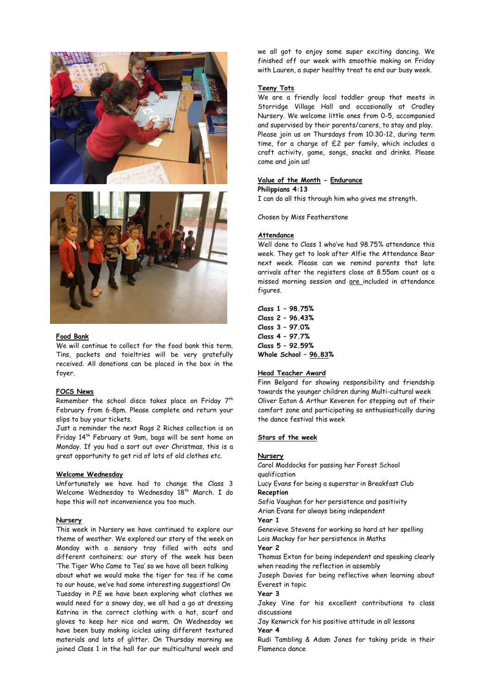



#### **Food Bank**

We will continue to collect for the food bank this term. Tins, packets and toieltries will be very gratefully received. All donations can be placed in the box in the foyer.

# **FOCS News**

Remember the school disco takes place on Friday 7<sup>th</sup> February from 6-8pm. Please complete and return your slips to buy your tickets.

Just a reminder the next Rags 2 Riches collection is on Friday 14th February at 9am, bags will be sent home on Monday. If you had a sort out over Christmas, this is a great opportunity to get rid of lots of old clothes etc.

#### **Welcome Wednesday**

Unfortunately we have had to change the Class 3 Welcome Wednesday to Wednesday 18<sup>th</sup> March. I do hope this will not inconvenience you too much.

#### **Nursery**

This week in Nursery we have continued to explore our theme of weather. We explored our story of the week on Monday with a sensory tray filled with oats and different containers; our story of the week has been 'The Tiger Who Came to Tea' so we have all been talking about what we would make the tiger for tea if he came to our house, we've had some interesting suggestions! On Tuesday in P.E we have been exploring what clothes we would need for a snowy day, we all had a go at dressing Katrina in the correct clothing with a hat, scarf and gloves to keep her nice and warm. On Wednesday we have been busy making icicles using different textured materials and lots of glitter. On Thursday morning we joined Class 1 in the hall for our multicultural week and

we all got to enjoy some super exciting dancing. We finished off our week with smoothie making on Friday with Lauren, a super healthy treat to end our busy week.

#### **Teeny Tots**

We are a friendly local toddler group that meets in Storridge Village Hall and occasionally at Cradley Nursery. We welcome little ones from 0-5, accompanied and supervised by their parents/carers, to stay and play. Please join us on Thursdays from 10:30-12, during term time, for a charge of £2 per family, which includes a craft activity, game, songs, snacks and drinks. Please come and join us!

# **Value of the Month - Endurance**

#### **Philippians 4:13**

I can do all this through him who gives me strength.

Chosen by Miss Featherstone

#### **Attendance**

Well done to Class 1 who've had 98.75% attendance this week. They get to look after Alfie the Attendance Bear next week. Please can we remind parents that late arrivals after the registers close at 8.55am count as a missed morning session and are included in attendance figures.

**Class 1 – 98.75% Class 2 – 96.43% Class 3 – 97.0% Class 4 – 97.7% Class 5 – 92.59% Whole School – 96.83%**

## **Head Teacher Award**

Finn Belgard for showing responsibility and friendship towards the younger children during Multi-cultural week Oliver Eaton & Arthur Keveren for stepping out of their comfort zone and participating so enthusiastically during the dance festival this week

# **Stars of the week**

# **Nursery**

Carol Maddocks for passing her Forest School qualification Lucy Evans for being a superstar in Breakfast Club **Reception** Sofia Vaughan for her persistence and positivity Arian Evans for always being independent **Year 1**  Genevieve Stevens for working so hard at her spelling Lois Mackay for her persistence in Maths **Year 2**  Thomas Exton for being independent and speaking clearly when reading the reflection in assembly Joseph Davies for being reflective when learning about Everest in topic **Year 3**  Jakey Vine for his excellent contributions to class discussions Jay Kenwrick for his positive attitude in all lessons **Year 4** Rudi Tambling & Adam Jones for taking pride in their Flamenco dance